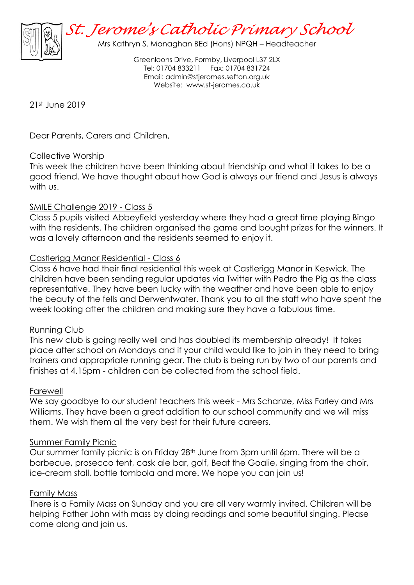

Greenloons Drive, Formby, Liverpool L37 2LX Tel: 01704 833211 Fax: 01704 831724 Email: [admin@stjeromes.sefton.org.uk](mailto:admin.stjeromes@schools.sefton.gov.uk) Website: [www.st-jeromes.co.uk](http://www.st-jeromes.co.uk/)

21st June 2019

Dear Parents, Carers and Children,

# Collective Worship

This week the children have been thinking about friendship and what it takes to be a good friend. We have thought about how God is always our friend and Jesus is always with us.

# SMILE Challenge 2019 - Class 5

Class 5 pupils visited Abbeyfield yesterday where they had a great time playing Bingo with the residents. The children organised the game and bought prizes for the winners. It was a lovely afternoon and the residents seemed to enjoy it.

# Castlerigg Manor Residential - Class 6

Class 6 have had their final residential this week at Castlerigg Manor in Keswick. The children have been sending regular updates via Twitter with Pedro the Pig as the class representative. They have been lucky with the weather and have been able to enjoy the beauty of the fells and Derwentwater. Thank you to all the staff who have spent the week looking after the children and making sure they have a fabulous time.

### Running Club

This new club is going really well and has doubled its membership already! It takes place after school on Mondays and if your child would like to join in they need to bring trainers and appropriate running gear. The club is being run by two of our parents and finishes at 4.15pm - children can be collected from the school field.

### Farewell

We say goodbye to our student teachers this week - Mrs Schanze, Miss Farley and Mrs Williams. They have been a great addition to our school community and we will miss them. We wish them all the very best for their future careers.

### Summer Family Picnic

Our summer family picnic is on Friday 28th June from 3pm until 6pm. There will be a barbecue, prosecco tent, cask ale bar, golf, Beat the Goalie, singing from the choir, ice-cream stall, bottle tombola and more. We hope you can join us!

### Family Mass

There is a Family Mass on Sunday and you are all very warmly invited. Children will be helping Father John with mass by doing readings and some beautiful singing. Please come along and join us.